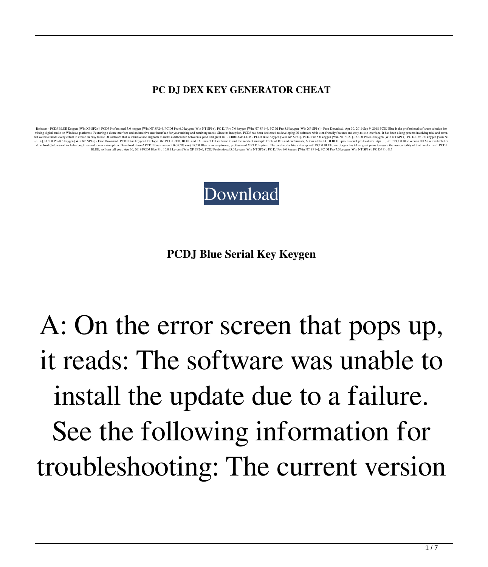## **PC DJ DEX KEY GENERATOR CHEAT**

Release- PCD BUG Keypen [Win XP SP2+]. FCD Powers both and a muttine test and muttine user interface of your mixing and cmain, galg and win precise, Since is inception, PCDJ Bas Sepa (Win XP SP2+]. PCD DP as Sepa deficated



**PCDJ Blue Serial Key Keygen**

## A: On the error screen that pops up, it reads: The software was unable to install the update due to a failure. See the following information for troubleshooting: The current version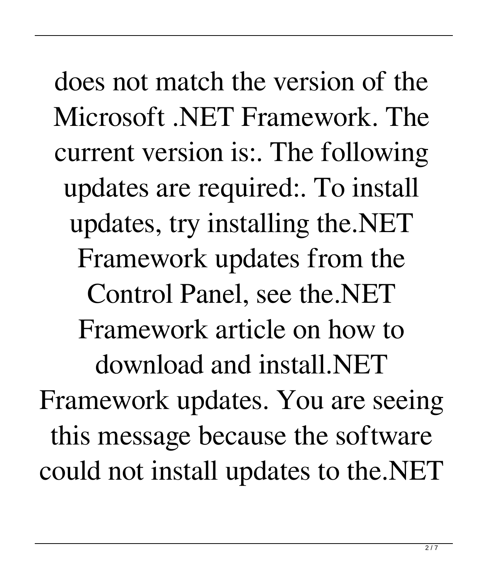does not match the version of the Microsoft .NET Framework. The current version is:. The following updates are required:. To install updates, try installing the.NET Framework updates from the Control Panel, see the.NET Framework article on how to download and install.NET Framework updates. You are seeing this message because the software could not install updates to the.NET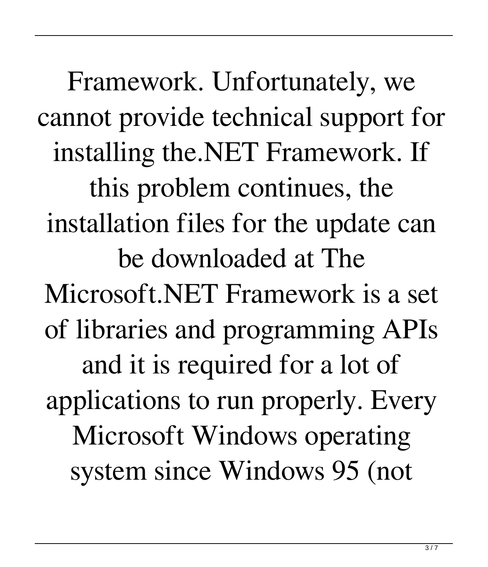Framework. Unfortunately, we cannot provide technical support for installing the.NET Framework. If this problem continues, the installation files for the update can be downloaded at The Microsoft.NET Framework is a set of libraries and programming APIs and it is required for a lot of applications to run properly. Every Microsoft Windows operating system since Windows 95 (not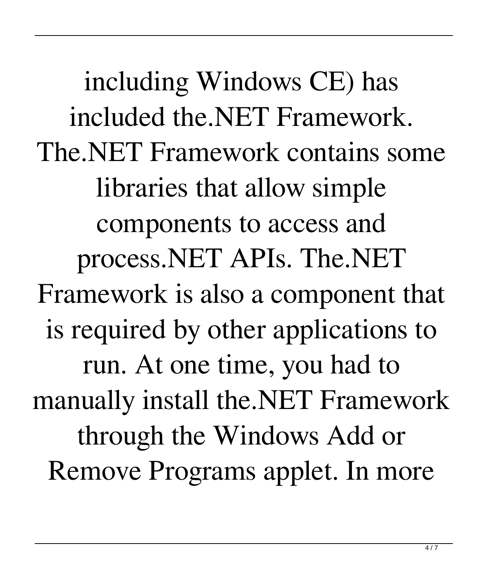including Windows CE) has included the.NET Framework. The.NET Framework contains some libraries that allow simple components to access and process.NET APIs. The.NET Framework is also a component that is required by other applications to run. At one time, you had to manually install the.NET Framework through the Windows Add or Remove Programs applet. In more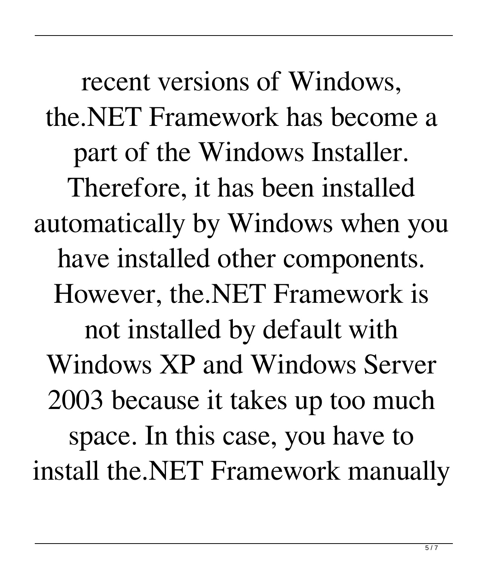recent versions of Windows, the.NET Framework has become a part of the Windows Installer. Therefore, it has been installed automatically by Windows when you have installed other components. However, the.NET Framework is not installed by default with Windows XP and Windows Server 2003 because it takes up too much space. In this case, you have to install the.NET Framework manually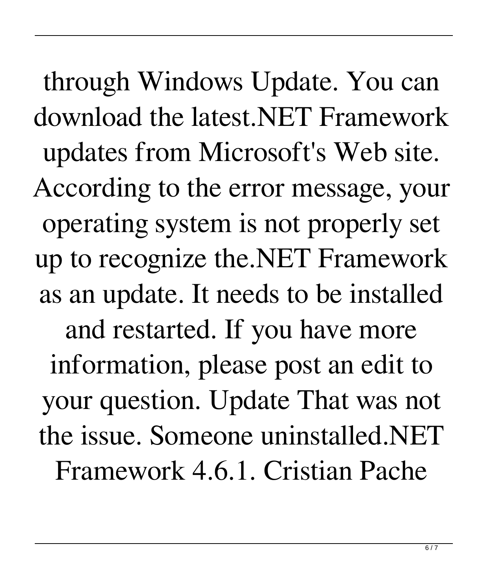through Windows Update. You can download the latest.NET Framework updates from Microsoft's Web site. According to the error message, your operating system is not properly set up to recognize the.NET Framework as an update. It needs to be installed and restarted. If you have more information, please post an edit to your question. Update That was not the issue. Someone uninstalled.NET Framework 4.6.1. Cristian Pache